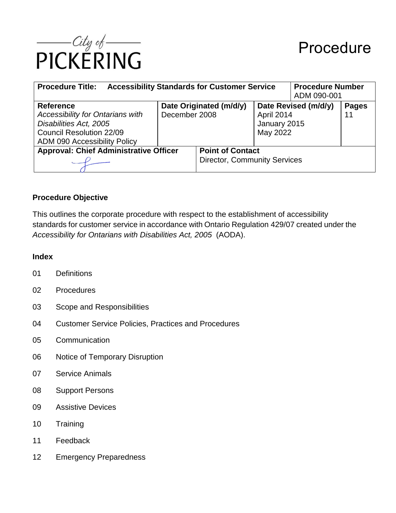

| <b>Accessibility Standards for Customer Service</b><br><b>Procedure Title:</b>                                                                                  |                                          |                                                                |                                                                | <b>Procedure Number</b><br>ADM 090-001 |                    |
|-----------------------------------------------------------------------------------------------------------------------------------------------------------------|------------------------------------------|----------------------------------------------------------------|----------------------------------------------------------------|----------------------------------------|--------------------|
| <b>Reference</b><br><b>Accessibility for Ontarians with</b><br>Disabilities Act, 2005<br><b>Council Resolution 22/09</b><br><b>ADM 090 Accessibility Policy</b> | Date Originated (m/d/y)<br>December 2008 |                                                                | Date Revised (m/d/y)<br>April 2014<br>January 2015<br>May 2022 |                                        | <b>Pages</b><br>11 |
| <b>Approval: Chief Administrative Officer</b>                                                                                                                   |                                          | <b>Point of Contact</b><br><b>Director, Community Services</b> |                                                                |                                        |                    |

### **Procedure Objective**

This outlines the corporate procedure with respect to the establishment of accessibility standards for customer service in accordance with Ontario Regulation 429/07 created under the *Accessibility for Ontarians with Disabilities Act, 2005* (AODA).

### **Index**

- 01 Definitions
- 02 Procedures
- 03 Scope and Responsibilities
- 04 Customer Service Policies, Practices and Procedures
- 05 Communication
- 06 Notice of Temporary Disruption
- 07 Service Animals
- 08 Support Persons
- 09 Assistive Devices
- 10 Training
- 11 Feedback
- 12 Emergency Preparedness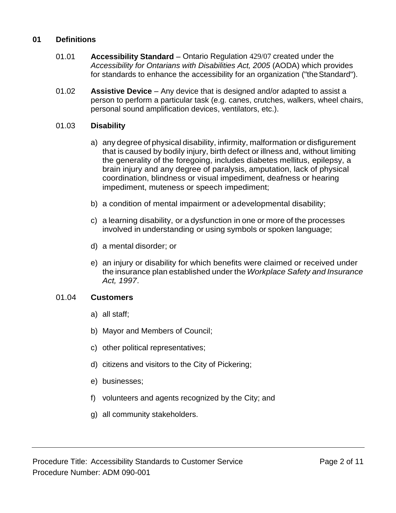### **01 Definitions**

- 01.01 **Accessibility Standard** Ontario Regulation 429/07 created under the *Accessibility for Ontarians with Disabilities Act, 2005* (AODA) which provides for standards to enhance the accessibility for an organization ("the Standard").
- 01.02 **Assistive Device** Any device that is designed and/or adapted to assist a person to perform a particular task (e.g. canes, crutches, walkers, wheel chairs, personal sound amplification devices, ventilators, etc.).

### 01.03 **Disability**

- a) any degree of physical disability, infirmity, malformation or disfigurement that is caused by bodily injury, birth defect or illness and, without limiting the generality of the foregoing, includes diabetes mellitus, epilepsy, a brain injury and any degree of paralysis, amputation, lack of physical coordination, blindness or visual impediment, deafness or hearing impediment, muteness or speech impediment;
- b) a condition of mental impairment or adevelopmental disability;
- c) a learning disability, or a dysfunction in one or more of the processes involved in understanding or using symbols or spoken language;
- d) a mental disorder; or
- e) an injury or disability for which benefits were claimed or received under the insurance plan established under the *Workplace Safety and Insurance Act, 1997*.

### 01.04 **Customers**

- a) all staff;
- b) Mayor and Members of Council;
- c) other political representatives;
- d) citizens and visitors to the City of Pickering;
- e) businesses;
- f) volunteers and agents recognized by the City; and
- g) all community stakeholders.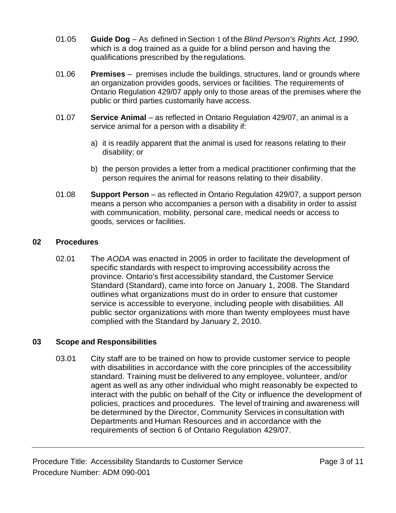- 01.05 **Guide Dog** As defined in Section 1 of the *Blind Person's Rights Act, 1990,*  which is a dog trained as a guide for a blind person and having the qualifications prescribed by the regulations.
- 01.06 **Premises** premises include the buildings, structures, land or grounds where an organization provides goods, services or facilities. The requirements of Ontario Regulation 429/07 apply only to those areas of the premises where the public or third parties customarily have access.
- 01.07 **Service Animal** as reflected in Ontario Regulation 429/07, an animal is a service animal for a person with a disability if:
	- a) it is readily apparent that the animal is used for reasons relating to their disability; or
	- b) the person provides a letter from a medical practitioner confirming that the person requires the animal for reasons relating to their disability.
- 01.08 **Support Person** as reflected in Ontario Regulation 429/07, a support person means a person who accompanies a person with a disability in order to assist with communication, mobility, personal care, medical needs or access to goods, services or facilities.

## **02 Procedures**

02.01 The *AODA* was enacted in 2005 in order to facilitate the development of specific standards with respect to improving accessibility across the province. Ontario's first accessibility standard, the Customer Service Standard (Standard), came into force on January 1, 2008. The Standard outlines what organizations must do in order to ensure that customer service is accessible to everyone, including people with disabilities. All public sector organizations with more than twenty employees must have complied with the Standard by January 2, 2010.

## **03 Scope and Responsibilities**

03.01 City staff are to be trained on how to provide customer service to people with disabilities in accordance with the core principles of the accessibility standard. Training must be delivered to any employee, volunteer, and/or agent as well as any other individual who might reasonably be expected to interact with the public on behalf of the City or influence the development of policies, practices and procedures. The level of training and awareness will be determined by the Director, Community Services in consultation with Departments and Human Resources and in accordance with the requirements of section 6 of Ontario Regulation 429/07.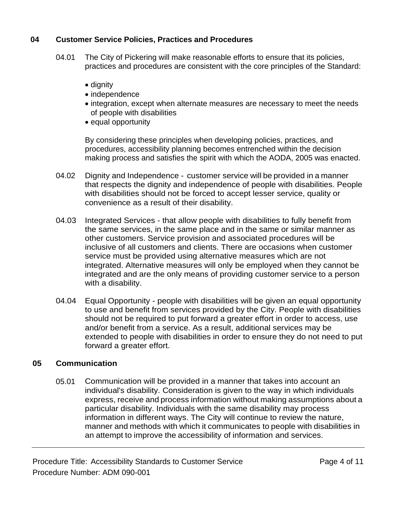## **04 Customer Service Policies, Practices and Procedures**

- 04.01 The City of Pickering will make reasonable efforts to ensure that its policies, practices and procedures are consistent with the core principles of the Standard:
	- dignity
	- independence
	- integration, except when alternate measures are necessary to meet the needs of people with disabilities
	- equal opportunity

By considering these principles when developing policies, practices, and procedures, accessibility planning becomes entrenched within the decision making process and satisfies the spirit with which the AODA, 2005 was enacted.

- 04.02 Dignity and Independence customer service will be provided in a manner that respects the dignity and independence of people with disabilities. People with disabilities should not be forced to accept lesser service, quality or convenience as a result of their disability.
- 04.03 Integrated Services that allow people with disabilities to fully benefit from the same services, in the same place and in the same or similar manner as other customers. Service provision and associated procedures will be inclusive of all customers and clients. There are occasions when customer service must be provided using alternative measures which are not integrated. Alternative measures will only be employed when they cannot be integrated and are the only means of providing customer service to a person with a disability.
- 04.04 Equal Opportunity people with disabilities will be given an equal opportunity to use and benefit from services provided by the City. People with disabilities should not be required to put forward a greater effort in order to access, use and/or benefit from a service. As a result, additional services may be extended to people with disabilities in order to ensure they do not need to put forward a greater effort.

# **05 Communication**

05.01 Communication will be provided in a manner that takes into account an individual's disability. Consideration is given to the way in which individuals express, receive and process information without making assumptions about a particular disability. Individuals with the same disability may process information in different ways. The City will continue to review the nature, manner and methods with which it communicates to people with disabilities in an attempt to improve the accessibility of information and services.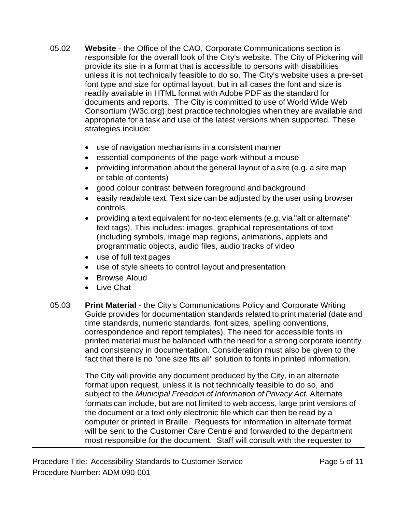- 05.02 **Website** the Office of the CAO, Corporate Communications section is responsible for the overall look of the City's website. The City of Pickering will provide its site in a format that is accessible to persons with disabilities unless it is not technically feasible to do so. The City's website uses a pre-set font type and size for optimal layout, but in all cases the font and size is readily available in HTML format with Adobe PDF as the standard for documents and reports. The City is committed to use of World Wide Web Consortium (W3c.org) best practice technologies when they are available and appropriate for a task and use of the latest versions when supported. These strategies include:
	- use of navigation mechanisms in a consistent manner
	- essential components of the page work without a mouse
	- providing information about the general layout of a site (e.g. a site map or table of contents)
	- good colour contrast between foreground and background
	- easily readable text. Text size can be adjusted by the user using browser controls
	- providing a text equivalent for no-text elements (e.g. via "alt or alternate" text tags). This includes: images, graphical representations of text (including symbols, image map regions, animations, applets and programmatic objects, audio files, audio tracks of video
	- use of full text pages
	- use of style sheets to control layout andpresentation
	- Browse Aloud
	- Live Chat
- 05.03 **Print Material**  the City's Communications Policy and Corporate Writing Guide provides for documentation standards related to print material (date and time standards, numeric standards, font sizes, spelling conventions, correspondence and report templates). The need for accessible fonts in printed material must be balanced with the need for a strong corporate identity and consistency in documentation. Consideration must also be given to the fact that there is no "one size fits all" solution to fonts in printed information.

The City will provide any document produced by the City, in an alternate format upon request, unless it is not technically feasible to do so, and subject to the *Municipal Freedom of Information of Privacy Act.* Alternate formats can include, but are not limited to web access, large print versions of the document or a text only electronic file which can then be read by a computer or printed in Braille. Requests for information in alternate format will be sent to the Customer Care Centre and forwarded to the department most responsible for the document. Staff will consult with the requester to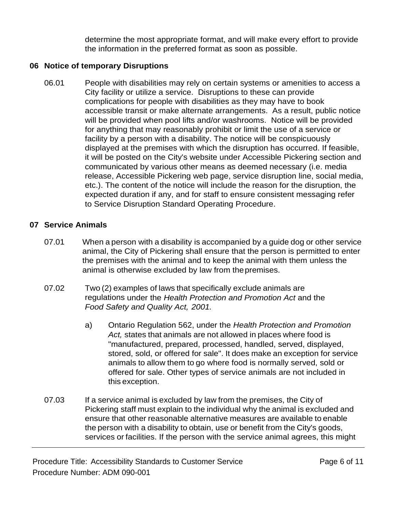determine the most appropriate format, and will make every effort to provide the information in the preferred format as soon as possible.

# **06 Notice of temporary Disruptions**

06.01 People with disabilities may rely on certain systems or amenities to access a City facility or utilize a service. Disruptions to these can provide complications for people with disabilities as they may have to book accessible transit or make alternate arrangements. As a result, public notice will be provided when pool lifts and/or washrooms. Notice will be provided for anything that may reasonably prohibit or limit the use of a service or facility by a person with a disability. The notice will be conspicuously displayed at the premises with which the disruption has occurred. If feasible, it will be posted on the City's website under Accessible Pickering section and communicated by various other means as deemed necessary (i.e. media release, Accessible Pickering web page, service disruption line, social media, etc.). The content of the notice will include the reason for the disruption, the expected duration if any, and for staff to ensure consistent messaging refer to Service Disruption Standard Operating Procedure.

# **07 Service Animals**

- 07.01 When a person with a disability is accompanied by a guide dog or other service animal, the City of Pickering shall ensure that the person is permitted to enter the premises with the animal and to keep the animal with them unless the animal is otherwise excluded by law from thepremises.
- 07.02 Two (2) examples of laws that specifically exclude animals are regulations under the *Health Protection and Promotion Act* and the *Food Safety and Quality Act, 2001.*
	- a) Ontario Regulation 562, under the *Health Protection and Promotion Act,* states that animals are not allowed in places where food is "manufactured, prepared, processed, handled, served, displayed, stored, sold, or offered for sale". It does make an exception for service animals to allow them to go where food is normally served, sold or offered for sale. Other types of service animals are not included in this exception.
- 07.03 If a service animal is excluded by law from the premises, the City of Pickering staff must explain to the individual why the animal is excluded and ensure that other reasonable alternative measures are available to enable the person with a disability to obtain, use or benefit from the City's goods, services or facilities. If the person with the service animal agrees, this might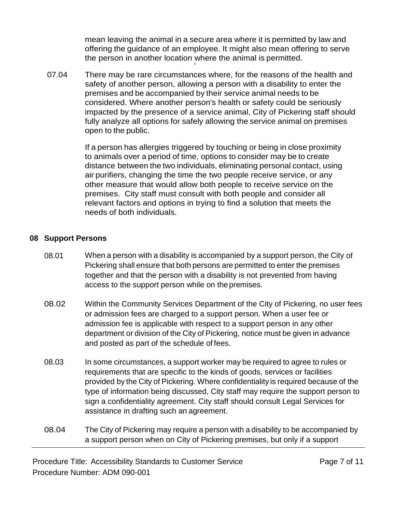mean leaving the animal in a secure area where it is permitted by law and offering the guidance of an employee. It might also mean offering to serve the person in another location where the animal is permitted.

07.04 There may be rare circumstances where, for the reasons of the health and safety of another person, allowing a person with a disability to enter the premises and be accompanied by their service animal needs to be considered. Where another person's health or safety could be seriously impacted by the presence of a service animal, City of Pickering staff should fully analyze all options for safely allowing the service animal on premises open to the public.

'

If a person has allergies triggered by touching or being in close proximity to animals over a period of time, options to consider may be to create distance between the two individuals, eliminating personal contact, using air purifiers, changing the time the two people receive service, or any other measure that would allow both people to receive service on the premises. City staff must consult with both people and consider all relevant factors and options in trying to find a solution that meets the needs of both individuals.

### **08 Support Persons**

- 08.01 When a person with a disability is accompanied by a support person, the City of Pickering shall ensure that both persons are permitted to enter the premises together and that the person with a disability is not prevented from having access to the support person while on thepremises.
- 08.02 Within the Community Services Department of the City of Pickering, no user fees or admission fees are charged to a support person. When a user fee or admission fee is applicable with respect to a support person in any other department or division of the City of Pickering, notice must be given in advance and posted as part of the schedule of fees.
- 08.03 In some circumstances, a support worker may be required to agree to rules or requirements that are specific to the kinds of goods, services or facilities provided by the City of Pickering. Where confidentiality is required because of the type of information being discussed, City staff may require the support person to sign a confidentiality agreement. City staff should consult Legal Services for assistance in drafting such an agreement.
- 08.04 The City of Pickering may require a person with a disability to be accompanied by a support person when on City of Pickering premises, but only if a support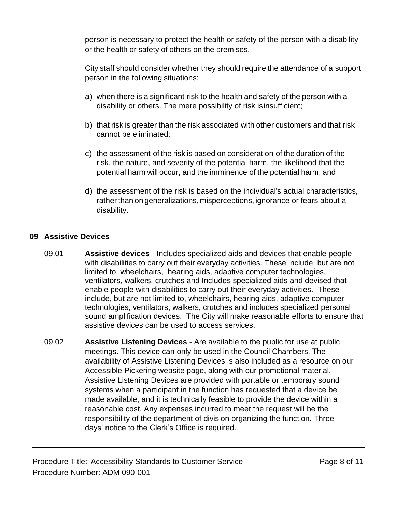person is necessary to protect the health or safety of the person with a disability or the health or safety of others on the premises.

City staff should consider whether they should require the attendance of a support person in the following situations:

- a) when there is a significant risk to the health and safety of the person with a disability or others. The mere possibility of risk isinsufficient;
- b) that risk is greater than the risk associated with other customers and that risk cannot be eliminated;
- c) the assessment of the risk is based on consideration of the duration of the risk, the nature, and severity of the potential harm, the likelihood that the potential harm will occur, and the imminence of the potential harm; and
- d) the assessment of the risk is based on the individual's actual characteristics, rather than on generalizations, misperceptions, ignorance or fears about a disability.

# **09 Assistive Devices**

- 09.01 **Assistive devices**  Includes specialized aids and devices that enable people with disabilities to carry out their everyday activities. These include, but are not limited to, wheelchairs, hearing aids, adaptive computer technologies, ventilators, walkers, crutches and Includes specialized aids and devised that enable people with disabilities to carry out their everyday activities. These include, but are not limited to, wheelchairs, hearing aids, adaptive computer technologies, ventilators, walkers, crutches and includes specialized personal sound amplification devices. The City will make reasonable efforts to ensure that assistive devices can be used to access services.
- 09.02 **Assistive Listening Devices**  Are available to the public for use at public meetings. This device can only be used in the Council Chambers. The availability of Assistive Listening Devices is also included as a resource on our Accessible Pickering website page, along with our promotional material. Assistive Listening Devices are provided with portable or temporary sound systems when a participant in the function has requested that a device be made available, and it is technically feasible to provide the device within a reasonable cost. Any expenses incurred to meet the request will be the responsibility of the department of division organizing the function. Three days' notice to the Clerk's Office is required.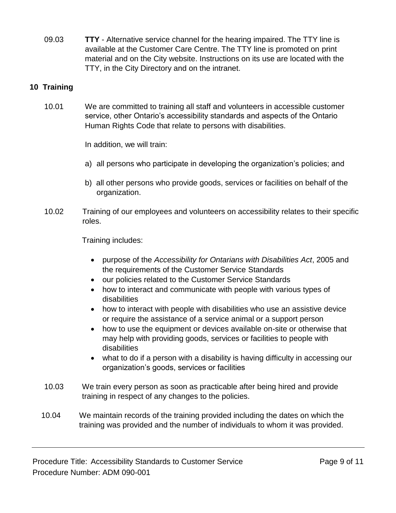09.03 **TTY** - Alternative service channel for the hearing impaired. The TTY line is available at the Customer Care Centre. The TTY line is promoted on print material and on the City website. Instructions on its use are located with the TTY, in the City Directory and on the intranet.

# **10 Training**

10.01 We are committed to training all staff and volunteers in accessible customer service, other Ontario's accessibility standards and aspects of the Ontario Human Rights Code that relate to persons with disabilities.

In addition, we will train:

- a) all persons who participate in developing the organization's policies; and
- b) all other persons who provide goods, services or facilities on behalf of the organization.
- 10.02 Training of our employees and volunteers on accessibility relates to their specific roles.

Training includes:

- purpose of the *Accessibility for Ontarians with Disabilities Act*, 2005 and the requirements of the Customer Service Standards
- our policies related to the Customer Service Standards
- how to interact and communicate with people with various types of disabilities
- how to interact with people with disabilities who use an assistive device or require the assistance of a service animal or a support person
- how to use the equipment or devices available on-site or otherwise that may help with providing goods, services or facilities to people with disabilities
- what to do if a person with a disability is having difficulty in accessing our organization's goods, services or facilities
- 10.03 We train every person as soon as practicable after being hired and provide training in respect of any changes to the policies.
- 10.04 We maintain records of the training provided including the dates on which the training was provided and the number of individuals to whom it was provided.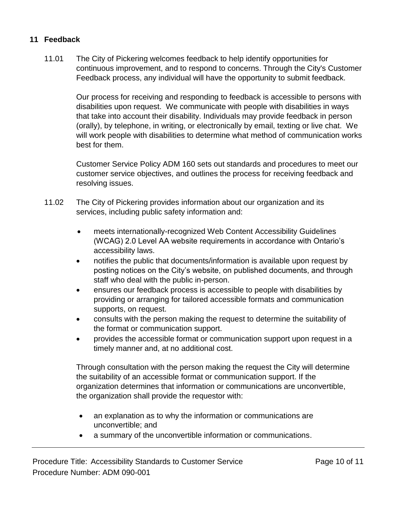## **11 Feedback**

11.01 The City of Pickering welcomes feedback to help identify opportunities for continuous improvement, and to respond to concerns. Through the City's Customer Feedback process, any individual will have the opportunity to submit feedback.

Our process for receiving and responding to feedback is accessible to persons with disabilities upon request. We communicate with people with disabilities in ways that take into account their disability. Individuals may provide feedback in person (orally), by telephone, in writing, or electronically by email, texting or live chat. We will work people with disabilities to determine what method of communication works best for them.

Customer Service Policy ADM 160 sets out standards and procedures to meet our customer service objectives, and outlines the process for receiving feedback and resolving issues.

- 11.02 The City of Pickering provides information about our organization and its services, including public safety information and:
	- meets internationally-recognized Web Content Accessibility Guidelines (WCAG) 2.0 Level AA website requirements in accordance with Ontario's accessibility laws.
	- notifies the public that documents/information is available upon request by posting notices on the City's website, on published documents, and through staff who deal with the public in-person.
	- ensures our feedback process is accessible to people with disabilities by providing or arranging for tailored accessible formats and communication supports, on request.
	- consults with the person making the request to determine the suitability of the format or communication support.
	- provides the accessible format or communication support upon request in a timely manner and, at no additional cost.

Through consultation with the person making the request the City will determine the suitability of an accessible format or communication support. If the organization determines that information or communications are unconvertible, the organization shall provide the requestor with:

- an explanation as to why the information or communications are unconvertible; and
- a summary of the unconvertible information or communications.